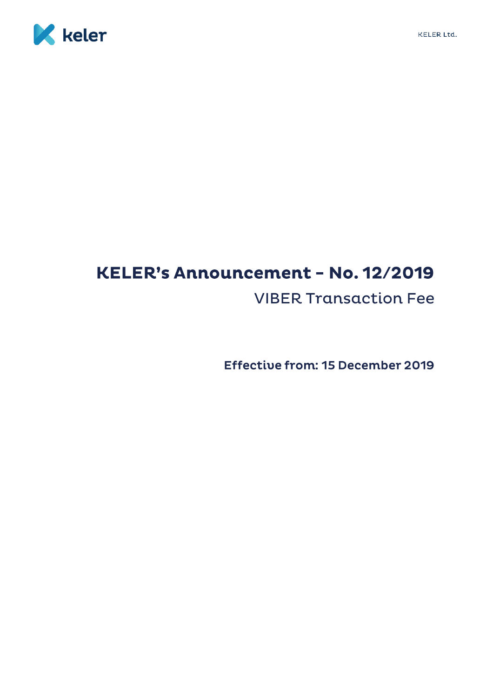

## KELER's Announcement - No. 12/2019 **VIBER Transaction Fee**

Effective from: 15 December 2019